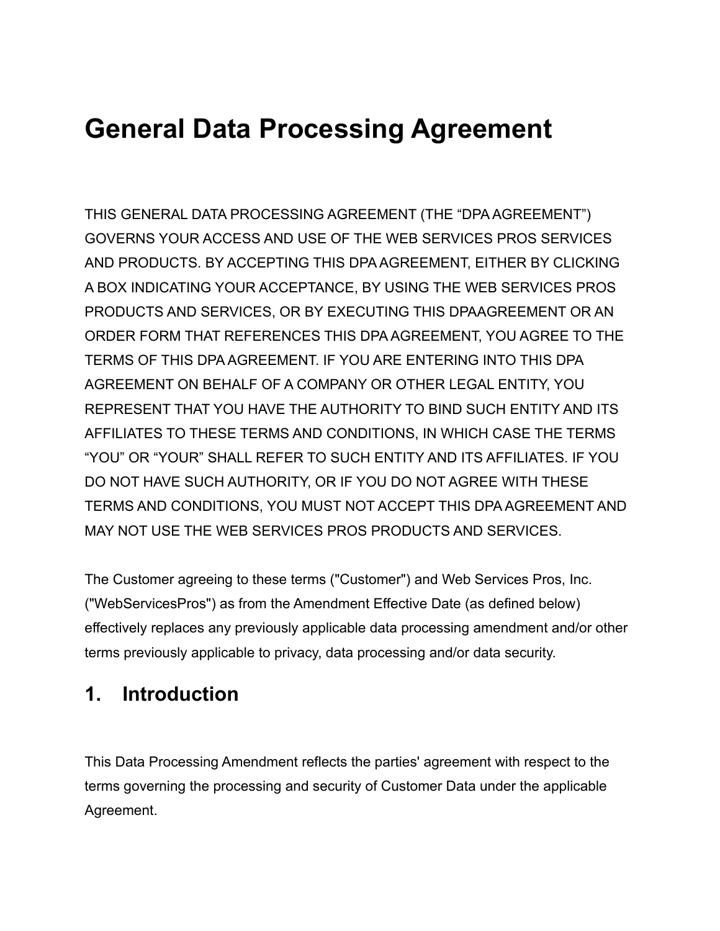# **General Data Processing Agreement**

THIS GENERAL DATA PROCESSING AGREEMENT (THE "DPA AGREEMENT") GOVERNS YOUR ACCESS AND USE OF THE WEB SERVICES PROS SERVICES AND PRODUCTS. BY ACCEPTING THIS DPA AGREEMENT, EITHER BY CLICKING A BOX INDICATING YOUR ACCEPTANCE, BY USING THE WEB SERVICES PROS PRODUCTS AND SERVICES, OR BY EXECUTING THIS DPAAGREEMENT OR AN ORDER FORM THAT REFERENCES THIS DPA AGREEMENT, YOU AGREE TO THE TERMS OF THIS DPA AGREEMENT. IF YOU ARE ENTERING INTO THIS DPA AGREEMENT ON BEHALF OF A COMPANY OR OTHER LEGAL ENTITY, YOU REPRESENT THAT YOU HAVE THE AUTHORITY TO BIND SUCH ENTITY AND ITS AFFILIATES TO THESE TERMS AND CONDITIONS, IN WHICH CASE THE TERMS "YOU" OR "YOUR" SHALL REFER TO SUCH ENTITY AND ITS AFFILIATES. IF YOU DO NOT HAVE SUCH AUTHORITY, OR IF YOU DO NOT AGREE WITH THESE TERMS AND CONDITIONS, YOU MUST NOT ACCEPT THIS DPA AGREEMENT AND MAY NOT USE THE WEB SERVICES PROS PRODUCTS AND SERVICES.

The Customer agreeing to these terms ("Customer") and Web Services Pros, Inc. ("WebServicesPros") as from the Amendment Effective Date (as defined below) effectively replaces any previously applicable data processing amendment and/or other terms previously applicable to privacy, data processing and/or data security.

### **1. Introduction**

This Data Processing Amendment reflects the parties' agreement with respect to the terms governing the processing and security of Customer Data under the applicable Agreement.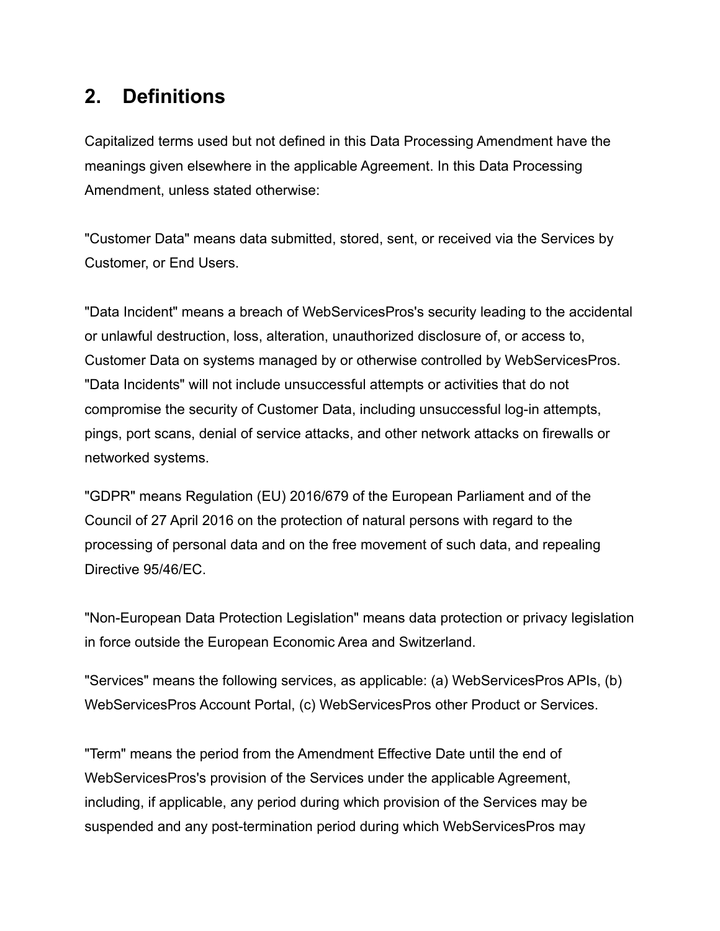# **2. Definitions**

Capitalized terms used but not defined in this Data Processing Amendment have the meanings given elsewhere in the applicable Agreement. In this Data Processing Amendment, unless stated otherwise:

"Customer Data" means data submitted, stored, sent, or received via the Services by Customer, or End Users.

"Data Incident" means a breach of WebServicesPros's security leading to the accidental or unlawful destruction, loss, alteration, unauthorized disclosure of, or access to, Customer Data on systems managed by or otherwise controlled by WebServicesPros. "Data Incidents" will not include unsuccessful attempts or activities that do not compromise the security of Customer Data, including unsuccessful log-in attempts, pings, port scans, denial of service attacks, and other network attacks on firewalls or networked systems.

"GDPR" means Regulation (EU) 2016/679 of the European Parliament and of the Council of 27 April 2016 on the protection of natural persons with regard to the processing of personal data and on the free movement of such data, and repealing Directive 95/46/EC.

"Non-European Data Protection Legislation" means data protection or privacy legislation in force outside the European Economic Area and Switzerland.

"Services" means the following services, as applicable: (a) WebServicesPros APIs, (b) WebServicesPros Account Portal, (c) WebServicesPros other Product or Services.

"Term" means the period from the Amendment Effective Date until the end of WebServicesPros's provision of the Services under the applicable Agreement, including, if applicable, any period during which provision of the Services may be suspended and any post-termination period during which WebServicesPros may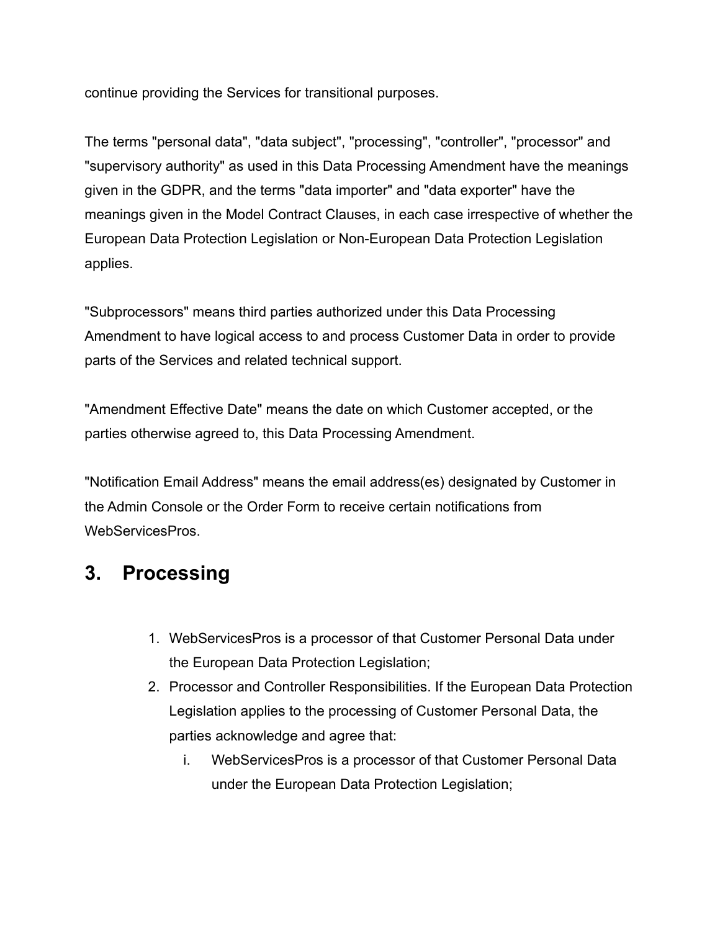continue providing the Services for transitional purposes.

The terms "personal data", "data subject", "processing", "controller", "processor" and "supervisory authority" as used in this Data Processing Amendment have the meanings given in the GDPR, and the terms "data importer" and "data exporter" have the meanings given in the Model Contract Clauses, in each case irrespective of whether the European Data Protection Legislation or Non-European Data Protection Legislation applies.

"Subprocessors" means third parties authorized under this Data Processing Amendment to have logical access to and process Customer Data in order to provide parts of the Services and related technical support.

"Amendment Effective Date" means the date on which Customer accepted, or the parties otherwise agreed to, this Data Processing Amendment.

"Notification Email Address" means the email address(es) designated by Customer in the Admin Console or the Order Form to receive certain notifications from WebServicesPros.

## **3. Processing**

- 1. WebServicesPros is a processor of that Customer Personal Data under the European Data Protection Legislation;
- 2. Processor and Controller Responsibilities. If the European Data Protection Legislation applies to the processing of Customer Personal Data, the parties acknowledge and agree that:
	- i. WebServicesPros is a processor of that Customer Personal Data under the European Data Protection Legislation;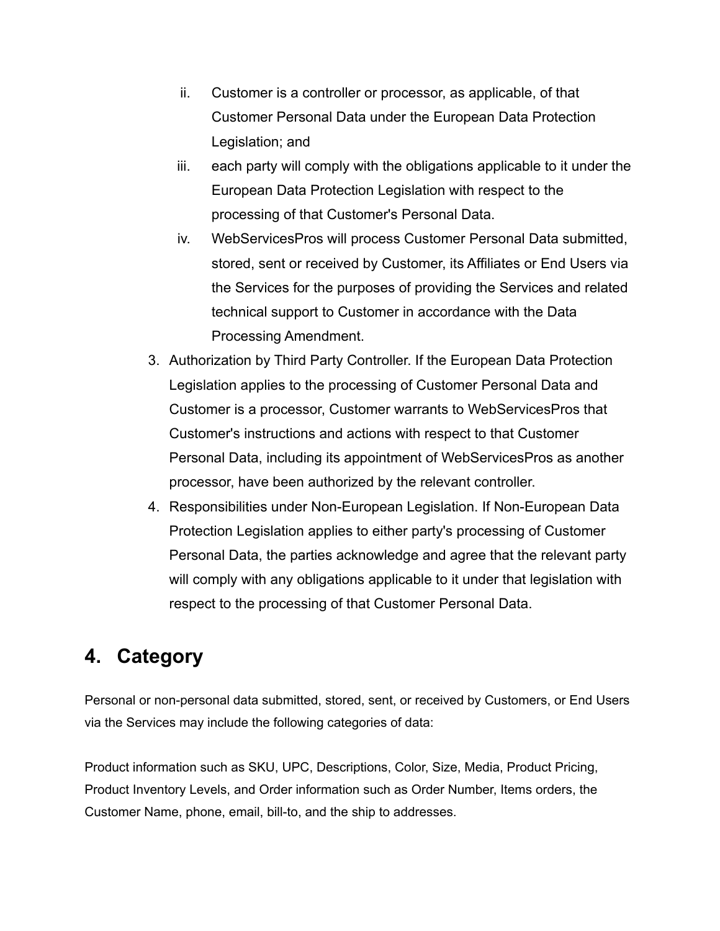- ii. Customer is a controller or processor, as applicable, of that Customer Personal Data under the European Data Protection Legislation; and
- iii. each party will comply with the obligations applicable to it under the European Data Protection Legislation with respect to the processing of that Customer's Personal Data.
- iv. WebServicesPros will process Customer Personal Data submitted, stored, sent or received by Customer, its Affiliates or End Users via the Services for the purposes of providing the Services and related technical support to Customer in accordance with the Data Processing Amendment.
- 3. Authorization by Third Party Controller. If the European Data Protection Legislation applies to the processing of Customer Personal Data and Customer is a processor, Customer warrants to WebServicesPros that Customer's instructions and actions with respect to that Customer Personal Data, including its appointment of WebServicesPros as another processor, have been authorized by the relevant controller.
- 4. Responsibilities under Non-European Legislation. If Non-European Data Protection Legislation applies to either party's processing of Customer Personal Data, the parties acknowledge and agree that the relevant party will comply with any obligations applicable to it under that legislation with respect to the processing of that Customer Personal Data.

## **4. Category**

Personal or non-personal data submitted, stored, sent, or received by Customers, or End Users via the Services may include the following categories of data:

Product information such as SKU, UPC, Descriptions, Color, Size, Media, Product Pricing, Product Inventory Levels, and Order information such as Order Number, Items orders, the Customer Name, phone, email, bill-to, and the ship to addresses.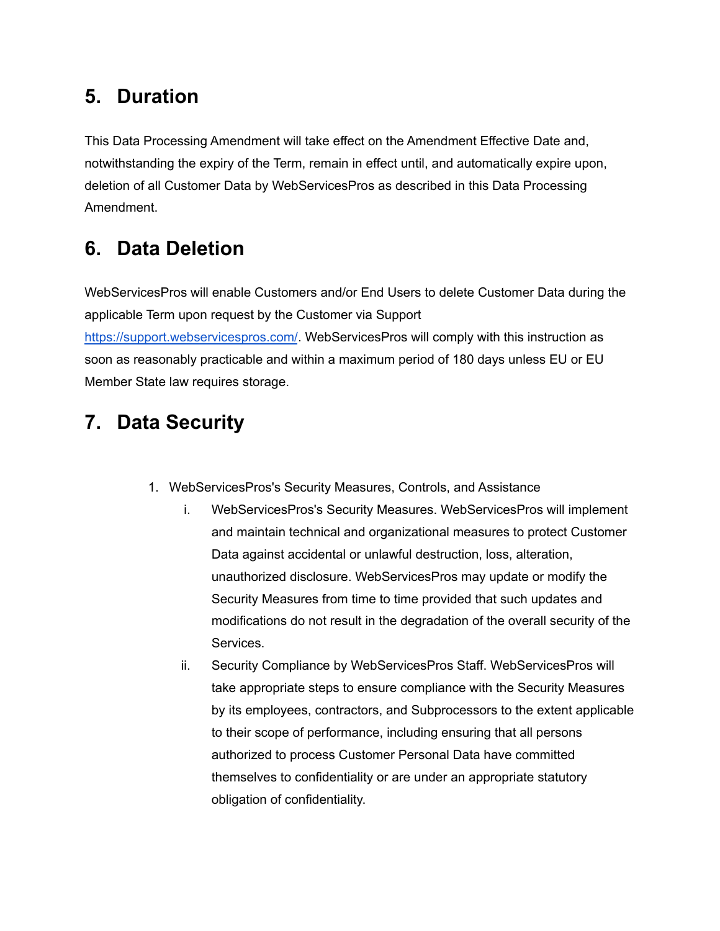# **5. Duration**

This Data Processing Amendment will take effect on the Amendment Effective Date and, notwithstanding the expiry of the Term, remain in effect until, and automatically expire upon, deletion of all Customer Data by WebServicesPros as described in this Data Processing Amendment.

# **6. Data Deletion**

WebServicesPros will enable Customers and/or End Users to delete Customer Data during the applicable Term upon request by the Customer via Support <https://support.webservicespros.com/>. WebServicesPros will comply with this instruction as soon as reasonably practicable and within a maximum period of 180 days unless EU or EU Member State law requires storage.

# **7. Data Security**

- 1. WebServicesPros's Security Measures, Controls, and Assistance
	- i. WebServicesPros's Security Measures. WebServicesPros will implement and maintain technical and organizational measures to protect Customer Data against accidental or unlawful destruction, loss, alteration, unauthorized disclosure. WebServicesPros may update or modify the Security Measures from time to time provided that such updates and modifications do not result in the degradation of the overall security of the Services.
	- ii. Security Compliance by WebServicesPros Staff. WebServicesPros will take appropriate steps to ensure compliance with the Security Measures by its employees, contractors, and Subprocessors to the extent applicable to their scope of performance, including ensuring that all persons authorized to process Customer Personal Data have committed themselves to confidentiality or are under an appropriate statutory obligation of confidentiality.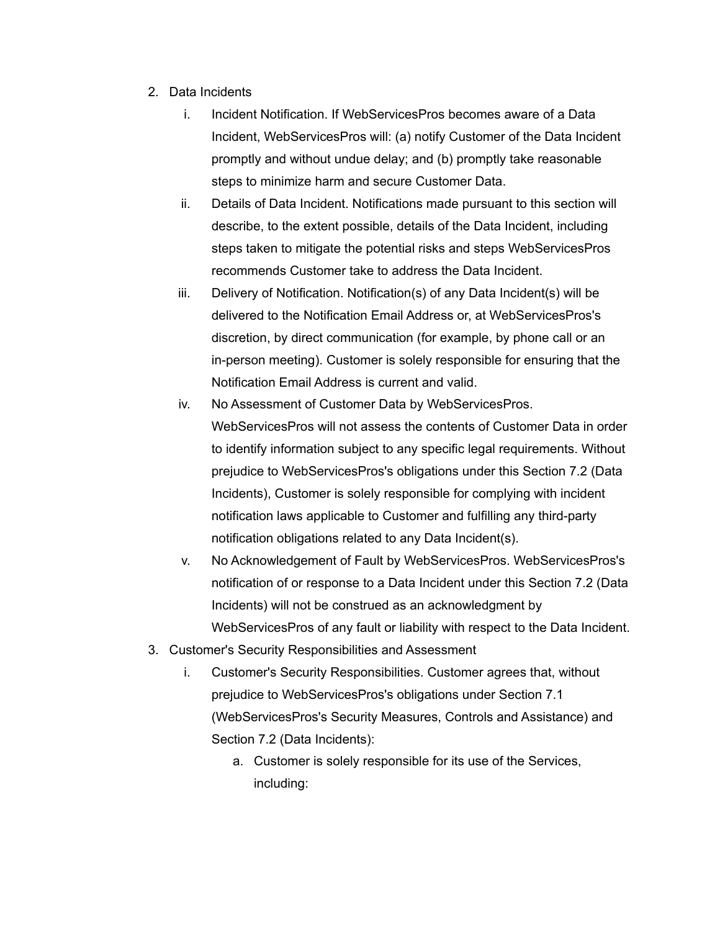- 2. Data Incidents
	- i. Incident Notification. If WebServicesPros becomes aware of a Data Incident, WebServicesPros will: (a) notify Customer of the Data Incident promptly and without undue delay; and (b) promptly take reasonable steps to minimize harm and secure Customer Data.
	- ii. Details of Data Incident. Notifications made pursuant to this section will describe, to the extent possible, details of the Data Incident, including steps taken to mitigate the potential risks and steps WebServicesPros recommends Customer take to address the Data Incident.
	- iii. Delivery of Notification. Notification(s) of any Data Incident(s) will be delivered to the Notification Email Address or, at WebServicesPros's discretion, by direct communication (for example, by phone call or an in-person meeting). Customer is solely responsible for ensuring that the Notification Email Address is current and valid.
	- iv. No Assessment of Customer Data by WebServicesPros. WebServicesPros will not assess the contents of Customer Data in order to identify information subject to any specific legal requirements. Without prejudice to WebServicesPros's obligations under this Section 7.2 (Data Incidents), Customer is solely responsible for complying with incident notification laws applicable to Customer and fulfilling any third-party notification obligations related to any Data Incident(s).
	- v. No Acknowledgement of Fault by WebServicesPros. WebServicesPros's notification of or response to a Data Incident under this Section 7.2 (Data Incidents) will not be construed as an acknowledgment by WebServicesPros of any fault or liability with respect to the Data Incident.
- 3. Customer's Security Responsibilities and Assessment
	- i. Customer's Security Responsibilities. Customer agrees that, without prejudice to WebServicesPros's obligations under Section 7.1 (WebServicesPros's Security Measures, Controls and Assistance) and Section 7.2 (Data Incidents):
		- a. Customer is solely responsible for its use of the Services, including: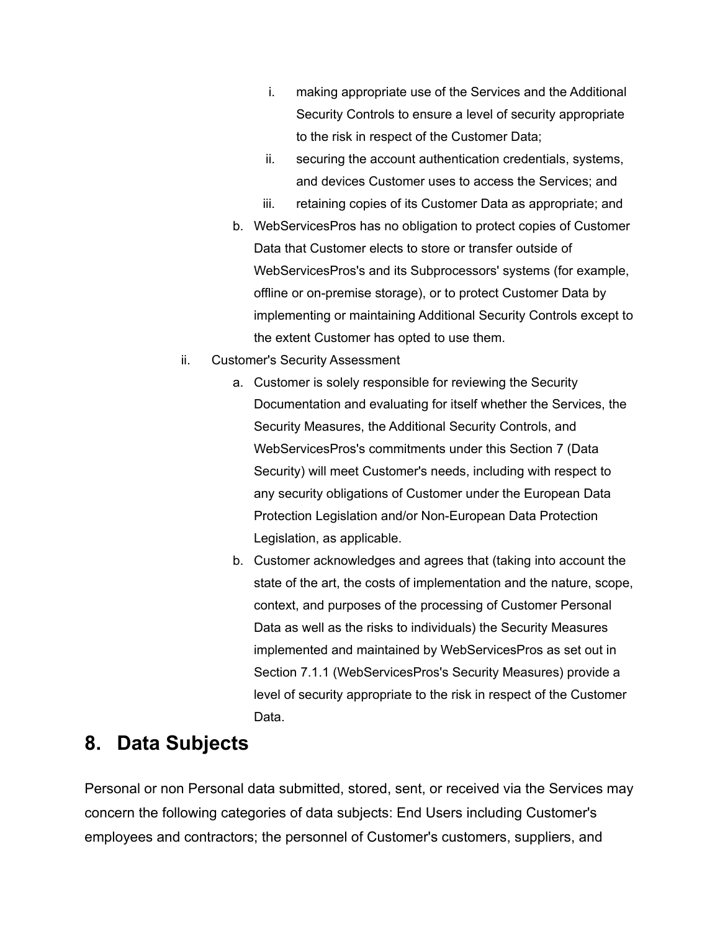- i. making appropriate use of the Services and the Additional Security Controls to ensure a level of security appropriate to the risk in respect of the Customer Data;
- ii. securing the account authentication credentials, systems, and devices Customer uses to access the Services; and
- iii. retaining copies of its Customer Data as appropriate; and
- b. WebServicesPros has no obligation to protect copies of Customer Data that Customer elects to store or transfer outside of WebServicesPros's and its Subprocessors' systems (for example, offline or on-premise storage), or to protect Customer Data by implementing or maintaining Additional Security Controls except to the extent Customer has opted to use them.
- ii. Customer's Security Assessment
	- a. Customer is solely responsible for reviewing the Security Documentation and evaluating for itself whether the Services, the Security Measures, the Additional Security Controls, and WebServicesPros's commitments under this Section 7 (Data Security) will meet Customer's needs, including with respect to any security obligations of Customer under the European Data Protection Legislation and/or Non-European Data Protection Legislation, as applicable.
	- b. Customer acknowledges and agrees that (taking into account the state of the art, the costs of implementation and the nature, scope, context, and purposes of the processing of Customer Personal Data as well as the risks to individuals) the Security Measures implemented and maintained by WebServicesPros as set out in Section 7.1.1 (WebServicesPros's Security Measures) provide a level of security appropriate to the risk in respect of the Customer Data.

### **8. Data Subjects**

Personal or non Personal data submitted, stored, sent, or received via the Services may concern the following categories of data subjects: End Users including Customer's employees and contractors; the personnel of Customer's customers, suppliers, and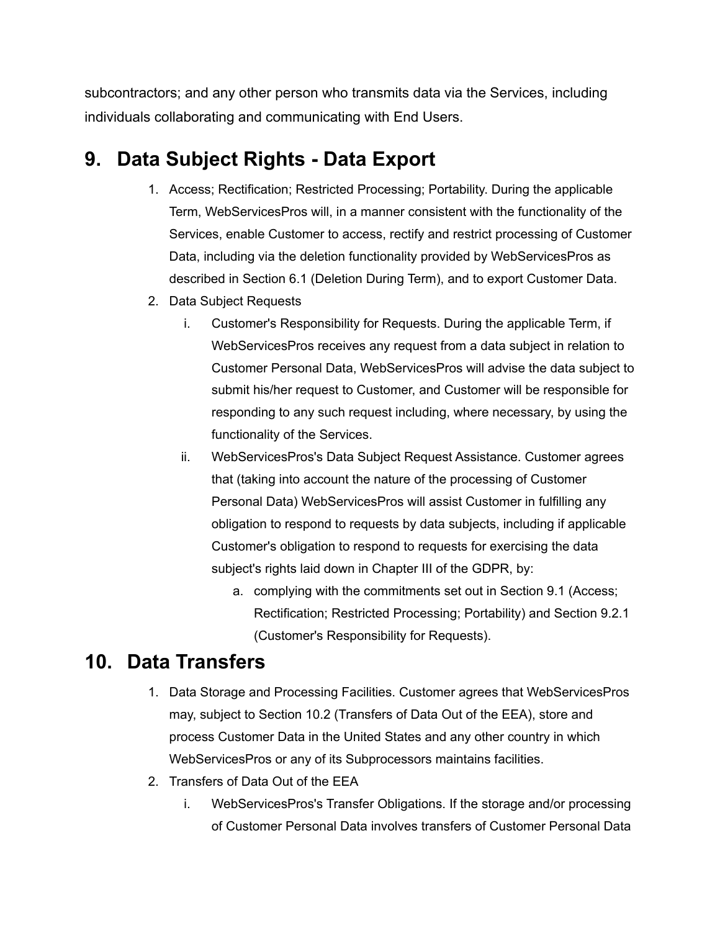subcontractors; and any other person who transmits data via the Services, including individuals collaborating and communicating with End Users.

# **9. Data Subject Rights - Data Export**

- 1. Access; Rectification; Restricted Processing; Portability. During the applicable Term, WebServicesPros will, in a manner consistent with the functionality of the Services, enable Customer to access, rectify and restrict processing of Customer Data, including via the deletion functionality provided by WebServicesPros as described in Section 6.1 (Deletion During Term), and to export Customer Data.
- 2. Data Subject Requests
	- i. Customer's Responsibility for Requests. During the applicable Term, if WebServicesPros receives any request from a data subject in relation to Customer Personal Data, WebServicesPros will advise the data subject to submit his/her request to Customer, and Customer will be responsible for responding to any such request including, where necessary, by using the functionality of the Services.
	- ii. WebServicesPros's Data Subject Request Assistance. Customer agrees that (taking into account the nature of the processing of Customer Personal Data) WebServicesPros will assist Customer in fulfilling any obligation to respond to requests by data subjects, including if applicable Customer's obligation to respond to requests for exercising the data subject's rights laid down in Chapter III of the GDPR, by:
		- a. complying with the commitments set out in Section 9.1 (Access; Rectification; Restricted Processing; Portability) and Section 9.2.1 (Customer's Responsibility for Requests).

#### **10. Data Transfers**

- 1. Data Storage and Processing Facilities. Customer agrees that WebServicesPros may, subject to Section 10.2 (Transfers of Data Out of the EEA), store and process Customer Data in the United States and any other country in which WebServicesPros or any of its Subprocessors maintains facilities.
- 2. Transfers of Data Out of the EEA
	- i. WebServicesPros's Transfer Obligations. If the storage and/or processing of Customer Personal Data involves transfers of Customer Personal Data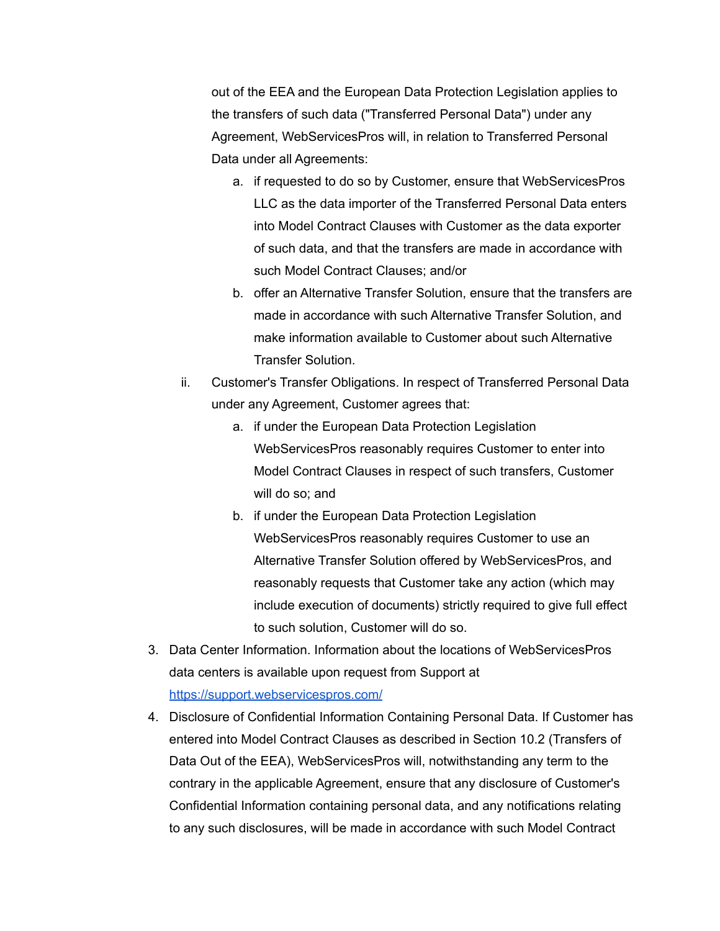out of the EEA and the European Data Protection Legislation applies to the transfers of such data ("Transferred Personal Data") under any Agreement, WebServicesPros will, in relation to Transferred Personal Data under all Agreements:

- a. if requested to do so by Customer, ensure that WebServicesPros LLC as the data importer of the Transferred Personal Data enters into Model Contract Clauses with Customer as the data exporter of such data, and that the transfers are made in accordance with such Model Contract Clauses; and/or
- b. offer an Alternative Transfer Solution, ensure that the transfers are made in accordance with such Alternative Transfer Solution, and make information available to Customer about such Alternative Transfer Solution.
- ii. Customer's Transfer Obligations. In respect of Transferred Personal Data under any Agreement, Customer agrees that:
	- a. if under the European Data Protection Legislation WebServicesPros reasonably requires Customer to enter into Model Contract Clauses in respect of such transfers, Customer will do so; and
	- b. if under the European Data Protection Legislation WebServicesPros reasonably requires Customer to use an Alternative Transfer Solution offered by WebServicesPros, and reasonably requests that Customer take any action (which may include execution of documents) strictly required to give full effect to such solution, Customer will do so.
- 3. Data Center Information. Information about the locations of WebServicesPros data centers is available upon request from Support at <https://support.webservicespros.com/>
- 4. Disclosure of Confidential Information Containing Personal Data. If Customer has entered into Model Contract Clauses as described in Section 10.2 (Transfers of Data Out of the EEA), WebServicesPros will, notwithstanding any term to the contrary in the applicable Agreement, ensure that any disclosure of Customer's Confidential Information containing personal data, and any notifications relating to any such disclosures, will be made in accordance with such Model Contract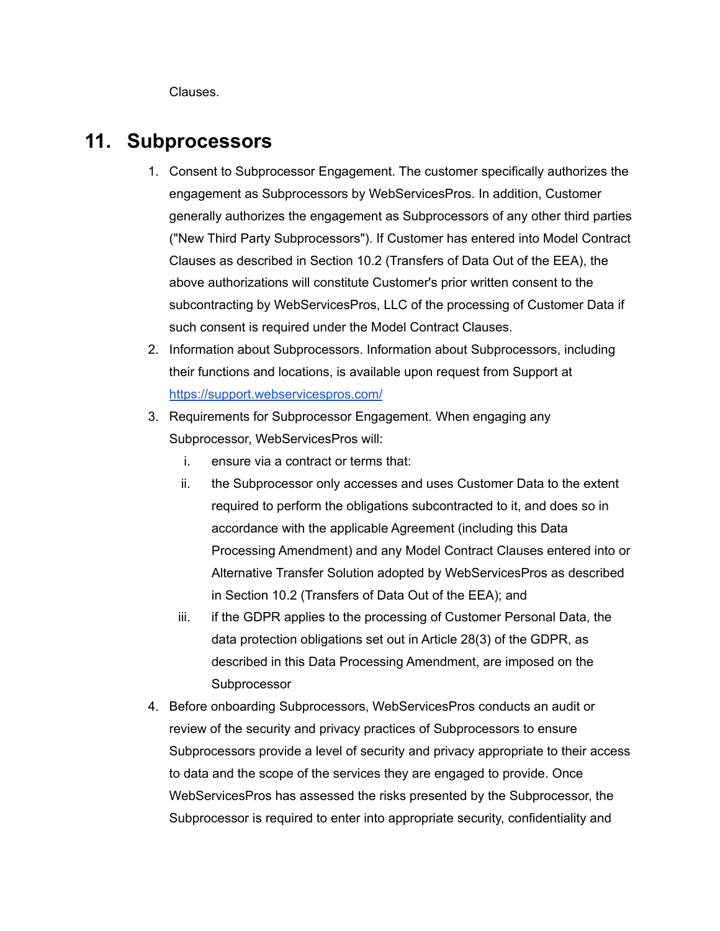Clauses.

#### **11. Subprocessors**

- 1. Consent to Subprocessor Engagement. The customer specifically authorizes the engagement as Subprocessors by WebServicesPros. In addition, Customer generally authorizes the engagement as Subprocessors of any other third parties ("New Third Party Subprocessors"). If Customer has entered into Model Contract Clauses as described in Section 10.2 (Transfers of Data Out of the EEA), the above authorizations will constitute Customer's prior written consent to the subcontracting by WebServicesPros, LLC of the processing of Customer Data if such consent is required under the Model Contract Clauses.
- 2. Information about Subprocessors. Information about Subprocessors, including their functions and locations, is available upon request from Support at <https://support.webservicespros.com/>
- 3. Requirements for Subprocessor Engagement. When engaging any Subprocessor, WebServicesPros will:
	- i. ensure via a contract or terms that:
	- ii. the Subprocessor only accesses and uses Customer Data to the extent required to perform the obligations subcontracted to it, and does so in accordance with the applicable Agreement (including this Data Processing Amendment) and any Model Contract Clauses entered into or Alternative Transfer Solution adopted by WebServicesPros as described in Section 10.2 (Transfers of Data Out of the EEA); and
	- iii. if the GDPR applies to the processing of Customer Personal Data, the data protection obligations set out in Article 28(3) of the GDPR, as described in this Data Processing Amendment, are imposed on the **Subprocessor**
- 4. Before onboarding Subprocessors, WebServicesPros conducts an audit or review of the security and privacy practices of Subprocessors to ensure Subprocessors provide a level of security and privacy appropriate to their access to data and the scope of the services they are engaged to provide. Once WebServicesPros has assessed the risks presented by the Subprocessor, the Subprocessor is required to enter into appropriate security, confidentiality and